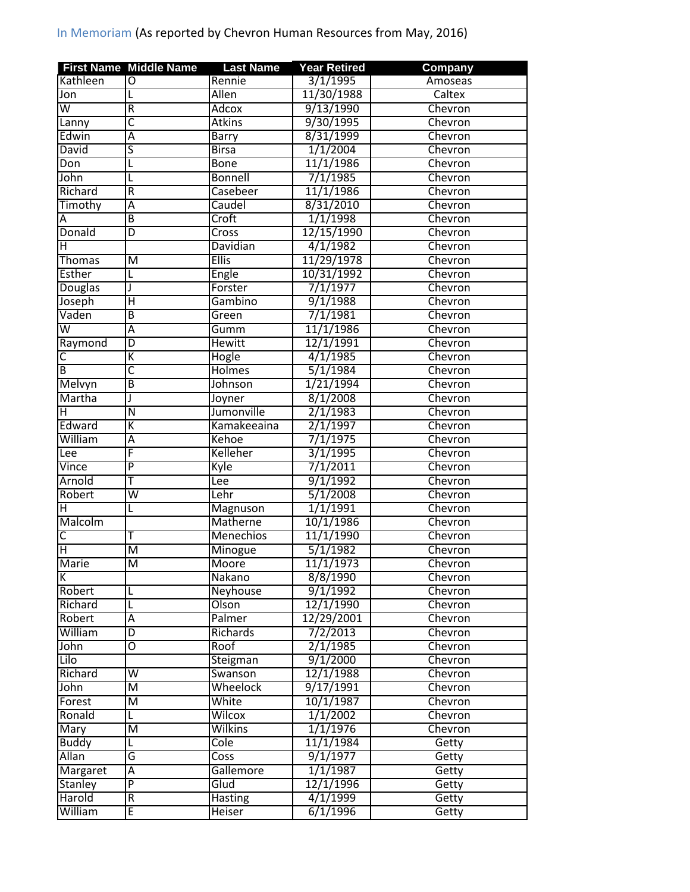|                         | <b>First Name Middle Name</b> | <b>Last Name</b>     | <b>Year Retired</b> | Company |
|-------------------------|-------------------------------|----------------------|---------------------|---------|
| Kathleen                | $\overline{0}$                | Rennie               | 3/1/1995            | Amoseas |
| Jon                     |                               | <b>Allen</b>         | 11/30/1988          | Caltex  |
| $\overline{\mathsf{w}}$ | R                             | Adcox                | 9/13/1990           | Chevron |
| Lanny                   | $\overline{\mathsf{C}}$       | <b>Atkins</b>        | 9/30/1995           | Chevron |
| Edwin                   | $\overline{\mathsf{A}}$       | Barry                | 8/31/1999           | Chevron |
| David                   | ς                             | <b>Birsa</b>         | 1/1/2004            | Chevron |
| Don                     |                               | <b>Bone</b>          | 11/1/1986           | Chevron |
| John                    | L                             | <b>Bonnell</b>       | 7/1/1985            | Chevron |
| Richard                 | R                             | Casebeer             | 11/1/1986           | Chevron |
| Timothy                 | $\overline{A}$                | Caudel               | 8/31/2010           | Chevron |
| А                       | $\overline{\mathsf{B}}$       | Croft                | 1/1/1998            | Chevron |
| Donald                  | D                             | Cross                | 12/15/1990          | Chevron |
| н                       |                               | Davidian             | 4/1/1982            | Chevron |
| <b>Thomas</b>           | M                             | <b>Ellis</b>         | 11/29/1978          | Chevron |
| <b>Esther</b>           | L                             | Engle                | 10/31/1992          | Chevron |
| Douglas                 | J                             | Forster              | 7/1/1977            | Chevron |
| Joseph                  | Ή                             | Gambino              | 9/1/1988            | Chevron |
| Vaden                   | $\overline{B}$                | Green                | 7/1/1981            | Chevron |
| $\overline{\mathsf{w}}$ | $\overline{A}$                | Gumm                 | 11/1/1986           | Chevron |
| Raymond                 | D                             | <b>Hewitt</b>        | 12/1/1991           | Chevron |
| С                       | K                             | Hogle                | 4/1/1985            | Chevron |
| B                       | $\overline{\mathsf{c}}$       | <b>Holmes</b>        | 5/1/1984            | Chevron |
| Melvyn                  | $\overline{\mathsf{B}}$       | Johnson              | 1/21/1994           | Chevron |
|                         |                               |                      | 8/1/2008            |         |
| Martha                  | $\overline{\mathsf{N}}$       | Joyner<br>Jumonville | 2/1/1983            | Chevron |
| н                       |                               |                      |                     | Chevron |
| Edward                  | Κ                             | Kamakeeaina          | 2/1/1997            | Chevron |
| William                 | Α                             | Kehoe                | 7/1/1975            | Chevron |
| Lee                     | F                             | Kelleher             | 3/1/1995            | Chevron |
| Vince                   | $\overline{\mathsf{P}}$       | Kyle                 | 7/1/2011            | Chevron |
| Arnold                  | Ŧ                             | Lee                  | 9/1/1992            | Chevron |
| Robert                  | $\overline{\mathsf{w}}$       | Lehr                 | 5/1/2008            | Chevron |
| Η                       | L                             | Magnuson             | 1/1/1991            | Chevron |
| Malcolm                 |                               | Matherne             | 10/1/1986           | Chevron |
| С                       | т                             | <b>Menechios</b>     | 11/1/1990           | Chevron |
| Η                       | M                             | Minogue              | 5/1/1982            | Chevron |
| Marie                   | $\overline{\mathsf{M}}$       | Moore                | 11/1/1973           | Chevron |
| К                       |                               | Nakano               | 8/8/1990            | Chevron |
| Robert                  | L                             | Neyhouse             | 9/1/1992            | Chevron |
| Richard                 | L                             | Olson                | 12/1/1990           | Chevron |
| Robert                  | Α                             | Palmer               | 12/29/2001          | Chevron |
| William                 | D                             | Richards             | 7/2/2013            | Chevron |
| John                    | O                             | Roof                 | 2/1/1985            | Chevron |
| Lilo                    |                               | Steigman             | 9/1/2000            | Chevron |
| Richard                 | $\overline{\mathsf{W}}$       | Swanson              | 12/1/1988           | Chevron |
| John                    | $\overline{\mathsf{M}}$       | Wheelock             | 9/17/1991           | Chevron |
| Forest                  | M                             | White                | 10/1/1987           | Chevron |
| Ronald                  | L                             | Wilcox               | 1/1/2002            | Chevron |
| Mary                    | $\overline{\mathsf{M}}$       | Wilkins              | 1/1/1976            | Chevron |
| <b>Buddy</b>            | L                             | Cole                 | 11/1/1984           | Getty   |
| Allan                   | G                             | Coss                 | 9/1/1977            | Getty   |
| <b>Margaret</b>         | Ā                             | Gallemore            | 1/1/1987            | Getty   |
| Stanley                 | $\overline{P}$                | Glud                 | 12/1/1996           | Getty   |
| Harold                  | R                             | <b>Hasting</b>       | 4/1/1999            | Getty   |
| William                 | E                             | Heiser               | 6/1/1996            | Getty   |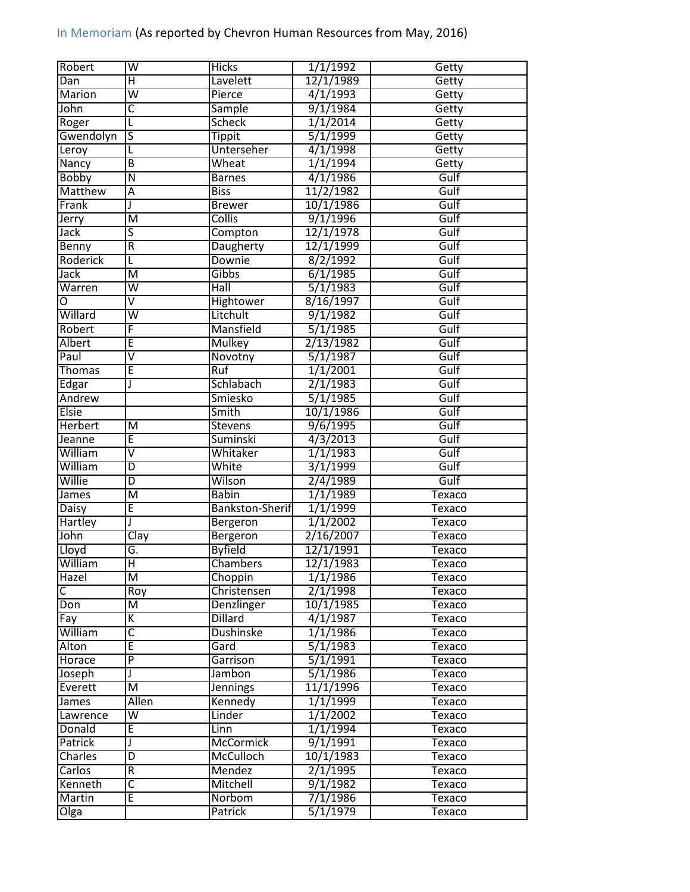| Robert            | W                       | <b>Hicks</b>               | 1/1/1992  | Getty         |
|-------------------|-------------------------|----------------------------|-----------|---------------|
| Dan               | Η                       | Lavelett                   | 12/1/1989 | Getty         |
| Marion            | $\overline{\mathsf{W}}$ | Pierce                     | 4/1/1993  | Getty         |
| John              | C                       | Sample                     | 9/1/1984  | Getty         |
| Roger             | L                       | <b>Scheck</b>              | 1/1/2014  | Getty         |
| Gwendolyn         | $\overline{\mathsf{S}}$ | <b>Tippit</b>              | 5/1/1999  | Getty         |
| Leroy             | L                       | Unterseher                 | 4/1/1998  | Getty         |
| Nancy             | $\overline{B}$          | Wheat                      | 1/1/1994  | Getty         |
| <b>Bobby</b>      | Ñ                       | <b>Barnes</b>              | 4/1/1986  | Gulf          |
| Matthew           | Ā                       | <b>Biss</b>                | 11/2/1982 | Gulf          |
| Frank             | J                       | <b>Brewer</b>              | 10/1/1986 | Gulf          |
| Jerry             | $\overline{\mathsf{M}}$ | Collis                     | 9/1/1996  | Gulf          |
| Jack              | S                       | Compton                    | 12/1/1978 | Gulf          |
| Benny             | $\overline{\mathsf{R}}$ | Daugherty                  | 12/1/1999 | Gulf          |
| Roderick          | L                       | Downie                     | 8/2/1992  | Gulf          |
| Jack              | $\overline{\mathsf{M}}$ | Gibbs                      | 6/1/1985  | Gulf          |
| Warren            | $\overline{\mathsf{w}}$ | Hall                       | 5/1/1983  | Gulf          |
| O                 | $\overline{\mathsf{v}}$ | <b>Hightower</b>           | 8/16/1997 | Gulf          |
| Willard           | $\overline{\mathsf{w}}$ | Litchult                   | 9/1/1982  | Gulf          |
| Robert            | F                       | Mansfield                  | 5/1/1985  | Gulf          |
| Albert            | Ē                       | <b>Mulkey</b>              | 2/13/1982 | Gulf          |
| Paul              | $\overline{\mathsf{v}}$ | Novotny                    | 5/1/1987  | Gulf          |
| <b>Thomas</b>     | Ē                       | <b>Ruf</b>                 | 1/1/2001  | Gulf          |
| Edgar             | J                       | Schlabach                  | 2/1/1983  | Gulf          |
| Andrew            |                         | Smiesko                    | 5/1/1985  | Gulf          |
| <b>Elsie</b>      |                         | Smith                      | 10/1/1986 | Gulf          |
| <b>Herbert</b>    | M                       |                            | 9/6/1995  | Gulf          |
|                   | Ē                       | <b>Stevens</b><br>Suminski | 4/3/2013  | Gulf          |
| Jeanne<br>William | $\overline{\mathsf{V}}$ | Whitaker                   | 1/1/1983  | Gulf          |
| William           | D                       | White                      |           | Gulf          |
| Willie            | $\overline{D}$          | Wilson                     | 3/1/1999  | Gulf          |
|                   |                         |                            | 2/4/1989  |               |
| James             | M<br>E                  | <b>Babin</b>               | 1/1/1989  | <b>Texaco</b> |
| Daisy             |                         | Bankston-Sherif            | 1/1/1999  | <b>Texaco</b> |
| Hartley           | J                       | Bergeron                   | 1/1/2002  | Texaco        |
| John              | $\overline{Cl}$ ay      | Bergeron                   | 2/16/2007 | Texaco        |
| Lloyd             | G.                      | <b>Byfield</b>             | 12/1/1991 | Texaco        |
| William           | $\overline{\mathsf{H}}$ | Chambers                   | 12/1/1983 | Texaco        |
| Hazel             | $\overline{\mathsf{M}}$ | Choppin                    | 1/1/1986  | Texaco        |
| C                 | Roy                     | Christensen                | 2/1/1998  | Texaco        |
| Don               | $\overline{\mathsf{M}}$ | Denzlinger                 | 10/1/1985 | Texaco        |
| Fay               | К                       | <b>Dillard</b>             | 4/1/1987  | Texaco        |
| William           | $\overline{\mathsf{c}}$ | <b>Dushinske</b>           | 1/1/1986  | Texaco        |
| Alton             | E                       | Gard                       | 5/1/1983  | Texaco        |
| Horace            | $\overline{\mathsf{P}}$ | Garrison                   | 5/1/1991  | Texaco        |
| Joseph            |                         | Jambon                     | 5/1/1986  | Texaco        |
| Everett           | M                       | <b>Jennings</b>            | 11/1/1996 | Texaco        |
| James             | Allen                   | Kennedy                    | 1/1/1999  | Texaco        |
| Lawrence          | $\overline{\mathsf{W}}$ | Linder                     | 1/1/2002  | Texaco        |
| Donald            | E                       | Linn                       | 1/1/1994  | Texaco        |
| Patrick           |                         | <b>McCormick</b>           | 9/1/1991  | Texaco        |
| Charles           | D                       | McCulloch                  | 10/1/1983 | Texaco        |
| Carlos            | R                       | Mendez                     | 2/1/1995  | Texaco        |
| Kenneth           | $\overline{\mathsf{C}}$ | Mitchell                   | 9/1/1982  | Texaco        |
| Martin            | E                       | Norbom                     | 7/1/1986  | Texaco        |
| Olga              |                         | Patrick                    | 5/1/1979  | Texaco        |